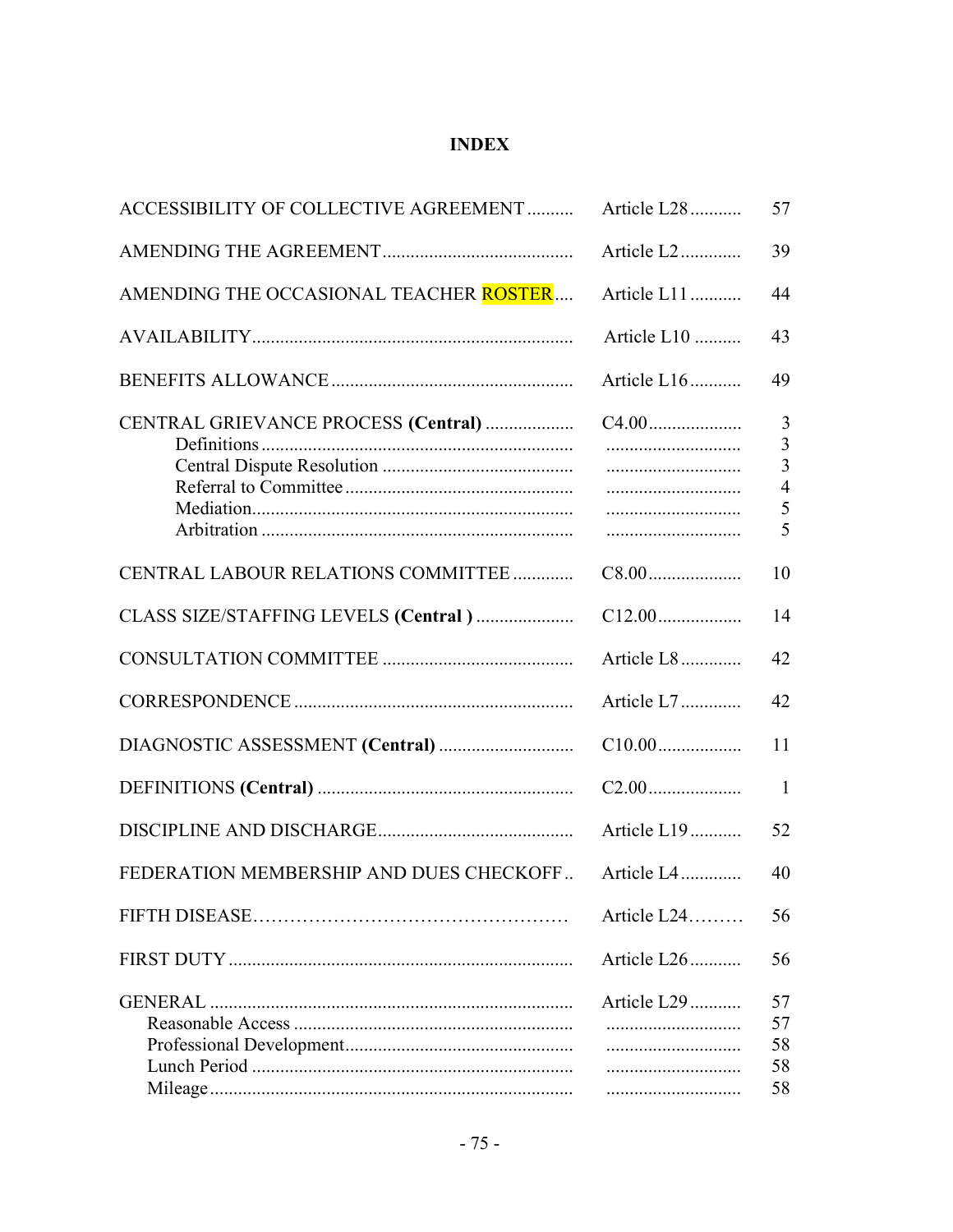## **INDEX**

| ACCESSIBILITY OF COLLECTIVE AGREEMENT   | Article L28     | 57                                      |
|-----------------------------------------|-----------------|-----------------------------------------|
|                                         | Article L2      | 39                                      |
| AMENDING THE OCCASIONAL TEACHER ROSTER  | Article L11     | 44                                      |
|                                         | Article L10     | 43                                      |
|                                         | Article L16     | 49                                      |
| CENTRAL GRIEVANCE PROCESS (Central)     |                 | 3<br>3<br>3<br>$\overline{4}$<br>5<br>5 |
| CENTRAL LABOUR RELATIONS COMMITTEE      |                 | 10                                      |
| CLASS SIZE/STAFFING LEVELS (Central)    |                 | 14                                      |
|                                         | Article L8      | 42                                      |
|                                         | Article L7      | 42                                      |
|                                         |                 | 11                                      |
|                                         |                 | $\overline{1}$                          |
|                                         | Article L19     | 52                                      |
| FEDERATION MEMBERSHIP AND DUES CHECKOFF | Article L4      | 40                                      |
|                                         | Article $L24$   | 56                                      |
|                                         | Article L26     | 56                                      |
|                                         | Article L29<br> | 57<br>57<br>58<br>58<br>58              |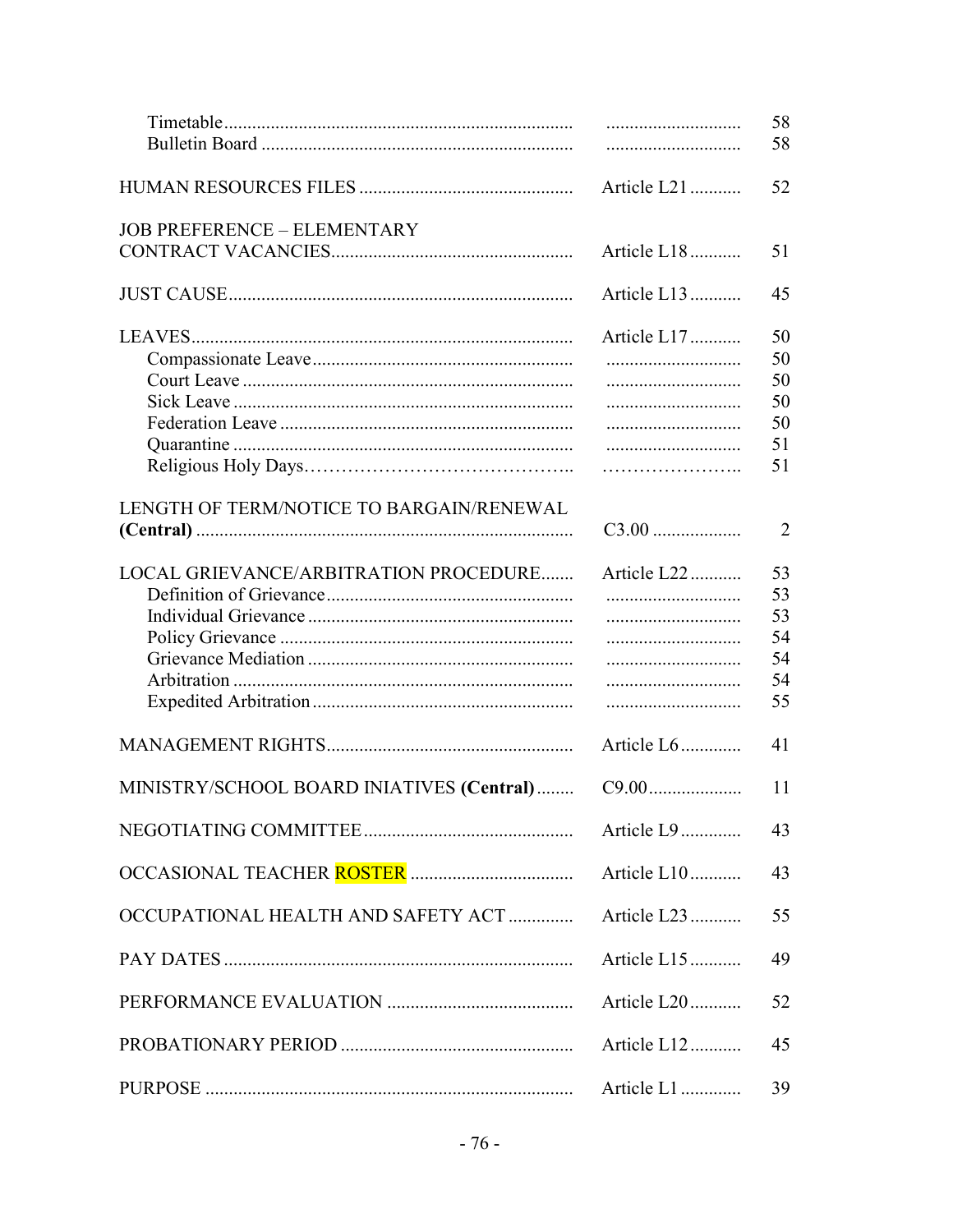|                                           |                 | 58<br>58                               |
|-------------------------------------------|-----------------|----------------------------------------|
|                                           | Article L21     | 52                                     |
| <b>JOB PREFERENCE - ELEMENTARY</b>        | Article L18     | 51                                     |
|                                           | Article L13     | 45                                     |
|                                           | Article L17     | 50<br>50<br>50<br>50<br>50<br>51<br>51 |
| LENGTH OF TERM/NOTICE TO BARGAIN/RENEWAL  | $C3.00$         | $\overline{2}$                         |
| LOCAL GRIEVANCE/ARBITRATION PROCEDURE     | Article L22<br> | 53<br>53<br>53<br>54<br>54<br>54<br>55 |
|                                           | Article L6      | 41                                     |
| MINISTRY/SCHOOL BOARD INIATIVES (Central) |                 | 11                                     |
|                                           | Article L9      | 43                                     |
|                                           |                 | 43                                     |
| OCCUPATIONAL HEALTH AND SAFETY ACT        | Article L23     | 55                                     |
|                                           | Article L15     | 49                                     |
|                                           | Article L20     | 52                                     |
|                                           | Article L12     | 45                                     |
|                                           |                 | 39                                     |